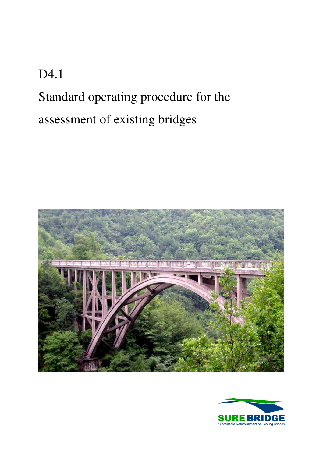# D4.1 Standard operating procedure for the assessment of existing bridges



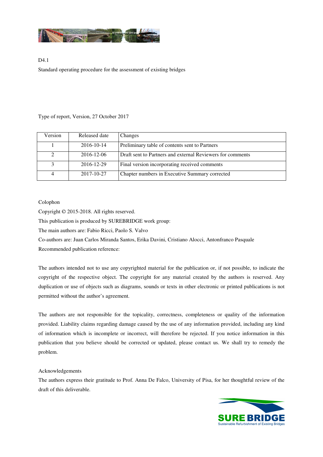

### D4.1 Standard operating procedure for the assessment of existing bridges

#### Type of report, Version, 27 October 2017

| Version | Released date | Changes                                                    |
|---------|---------------|------------------------------------------------------------|
|         | 2016-10-14    | Preliminary table of contents sent to Partners             |
| 2       | 2016-12-06    | Draft sent to Partners and external Reviewers for comments |
| 3       | 2016-12-29    | Final version incorporating received comments              |
| 4       | 2017-10-27    | Chapter numbers in Executive Summary corrected             |

#### Colophon

Copyright © 2015-2018. All rights reserved.

This publication is produced by SUREBRIDGE work group:

The main authors are: Fabio Ricci, Paolo S. Valvo

Co-authors are: Juan Carlos Miranda Santos, Erika Davini, Cristiano Alocci, Antonfranco Pasquale

Recommended publication reference:

The authors intended not to use any copyrighted material for the publication or, if not possible, to indicate the copyright of the respective object. The copyright for any material created by the authors is reserved. Any duplication or use of objects such as diagrams, sounds or texts in other electronic or printed publications is not permitted without the author's agreement.

The authors are not responsible for the topicality, correctness, completeness or quality of the information provided. Liability claims regarding damage caused by the use of any information provided, including any kind of information which is incomplete or incorrect, will therefore be rejected. If you notice information in this publication that you believe should be corrected or updated, please contact us. We shall try to remedy the problem.

#### Acknowledgements

The authors express their gratitude to Prof. Anna De Falco, University of Pisa, for her thoughtful review of the draft of this deliverable.

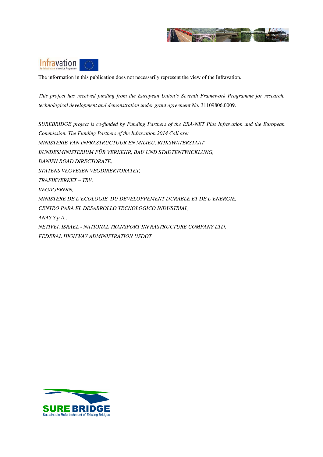



The information in this publication does not necessarily represent the view of the Infravation.

*This project has received funding from the European Union's Seventh Framework Programme for research, technological development and demonstration under grant agreement No.* 31109806.0009*.* 

*SUREBRIDGE project is co-funded by Funding Partners of the ERA-NET Plus Infravation and the European Commission. The Funding Partners of the Infravation 2014 Call are: MINISTERIE VAN INFRASTRUCTUUR EN MILIEU, RIJKSWATERSTAAT BUNDESMINISTERIUM FÜR VERKEHR, BAU UND STADTENTWICKLUNG, DANISH ROAD DIRECTORATE, STATENS VEGVESEN VEGDIREKTORATET, TRAFIKVERKET – TRV, VEGAGERÐIN, MINISTERE DE L'ECOLOGIE, DU DEVELOPPEMENT DURABLE ET DE L'ENERGIE, CENTRO PARA EL DESARROLLO TECNOLOGICO INDUSTRIAL, ANAS S.p.A., NETIVEI, ISRAEL - NATIONAL TRANSPORT INFRASTRUCTURE COMPANY LTD, FEDERAL HIGHWAY ADMINISTRATION USDOT* 

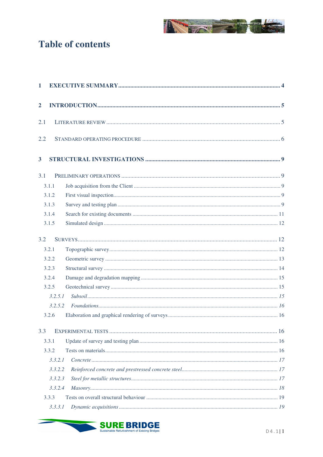

# **Table of contents**

| $\mathbf{1}$   |         |  |
|----------------|---------|--|
| $\overline{2}$ |         |  |
| 2.1            |         |  |
| 2.2            |         |  |
| 3              |         |  |
| 3.1            |         |  |
|                | 3.1.1   |  |
|                | 3.1.2   |  |
|                | 3.1.3   |  |
|                | 3.1.4   |  |
|                | 3.1.5   |  |
| 3.2            |         |  |
|                | 3.2.1   |  |
|                | 3.2.2   |  |
|                | 3.2.3   |  |
|                | 3.2.4   |  |
|                | 3.2.5   |  |
|                | 3.2.5.1 |  |
|                | 3.2.5.2 |  |
|                | 3.2.6   |  |
| 3.3            |         |  |
|                | 3.3.1   |  |
|                | 3.3.2   |  |
|                | 3.3.2.1 |  |
|                | 3.3.2.2 |  |
|                | 3.3.2.3 |  |
|                | 3.3.2.4 |  |
|                | 3.3.3   |  |
|                | 3.3.3.1 |  |



<u> Samuel Barbara (</u>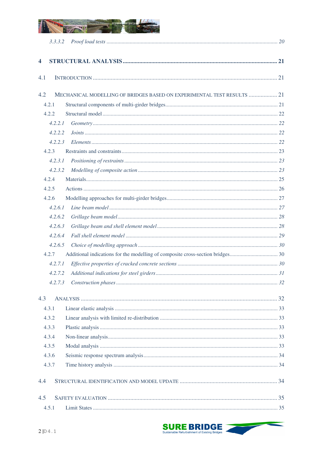

|                         | 3.3.3.2 |                                                                        |  |
|-------------------------|---------|------------------------------------------------------------------------|--|
| $\overline{\mathbf{4}}$ |         |                                                                        |  |
| 4.1                     |         |                                                                        |  |
| 4.2                     |         | MECHANICAL MODELLING OF BRIDGES BASED ON EXPERIMENTAL TEST RESULTS  21 |  |
|                         | 4.2.1   |                                                                        |  |
|                         | 4.2.2.  |                                                                        |  |
|                         | 4.2.2.1 |                                                                        |  |
|                         | 4.2.2.2 |                                                                        |  |
|                         | 4.2.2.3 |                                                                        |  |
|                         | 4.2.3   |                                                                        |  |
|                         | 4.2.3.1 |                                                                        |  |
|                         | 4.2.3.2 |                                                                        |  |
|                         | 4.2.4   |                                                                        |  |
|                         | 4.2.5   |                                                                        |  |
|                         | 4.2.6   |                                                                        |  |
|                         | 4.2.6.1 |                                                                        |  |
|                         | 4.2.6.2 |                                                                        |  |
|                         | 4.2.6.3 |                                                                        |  |
|                         | 4.2.6.4 |                                                                        |  |
|                         | 4.2.6.5 |                                                                        |  |
|                         | 4.2.7   |                                                                        |  |
|                         | 4.2.7.1 |                                                                        |  |
|                         | 4.2.7.2 |                                                                        |  |
|                         |         |                                                                        |  |
| 4.3                     |         |                                                                        |  |
|                         | 4.3.1   |                                                                        |  |
|                         | 4.3.2   |                                                                        |  |
|                         | 4.3.3   |                                                                        |  |
|                         | 4.3.4   |                                                                        |  |
|                         | 4.3.5   |                                                                        |  |
|                         | 4.3.6   |                                                                        |  |
|                         | 4.3.7   |                                                                        |  |
| 4.4                     |         |                                                                        |  |
| 4.5                     |         |                                                                        |  |
|                         | 4.5.1   |                                                                        |  |

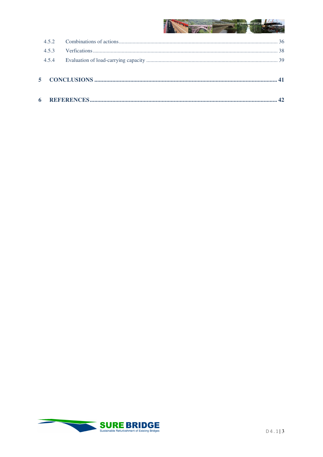## **READY AND READY AND READY A**

| 453   |  |
|-------|--|
| 4.5.4 |  |
|       |  |
|       |  |